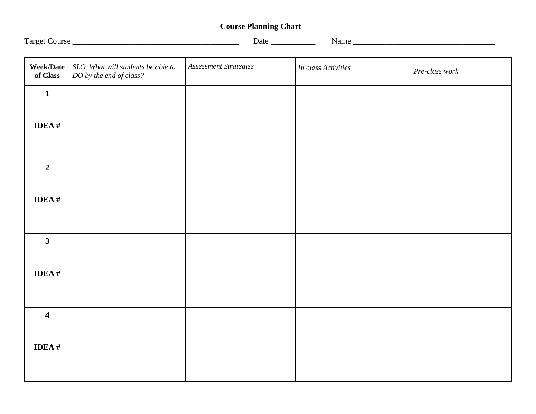## **Course Planning Chart**

**Week/Date**  *SLO. What will students be able to*  **of Class** *DO by the end of class? Assessment Strategies In class Activities Pre-class work* **1 IDEA # 2 IDEA # 3 IDEA # 4 IDEA #**

Target Course \_\_\_\_\_\_\_\_\_\_\_\_\_\_\_\_\_\_\_\_\_\_\_\_\_\_\_\_\_\_\_\_\_\_\_\_\_\_\_\_\_ Date \_\_\_\_\_\_\_\_\_\_\_ Name \_\_\_\_\_\_\_\_\_\_\_\_\_\_\_\_\_\_\_\_\_\_\_\_\_\_\_\_\_\_\_\_\_\_\_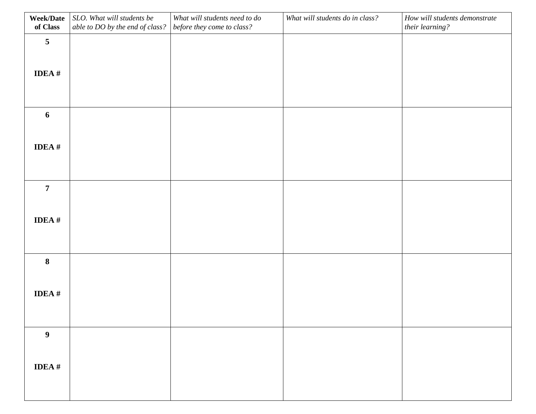| <b>Week/Date</b><br>of Class | SLO. What will students be<br>able to DO by the end of class? | What will students need to do<br>before they come to class? | What will students do in class? | How will students demonstrate<br>their learning? |
|------------------------------|---------------------------------------------------------------|-------------------------------------------------------------|---------------------------------|--------------------------------------------------|
| $\overline{\mathbf{5}}$      |                                                               |                                                             |                                 |                                                  |
|                              |                                                               |                                                             |                                 |                                                  |
| IDEA $#$                     |                                                               |                                                             |                                 |                                                  |
|                              |                                                               |                                                             |                                 |                                                  |
| $\boldsymbol{6}$             |                                                               |                                                             |                                 |                                                  |
|                              |                                                               |                                                             |                                 |                                                  |
| IDEA $#$                     |                                                               |                                                             |                                 |                                                  |
|                              |                                                               |                                                             |                                 |                                                  |
| $\overline{7}$               |                                                               |                                                             |                                 |                                                  |
|                              |                                                               |                                                             |                                 |                                                  |
| IDEA $#$                     |                                                               |                                                             |                                 |                                                  |
|                              |                                                               |                                                             |                                 |                                                  |
| $\bf 8$                      |                                                               |                                                             |                                 |                                                  |
| IDEA $#$                     |                                                               |                                                             |                                 |                                                  |
|                              |                                                               |                                                             |                                 |                                                  |
|                              |                                                               |                                                             |                                 |                                                  |
| $\boldsymbol{9}$             |                                                               |                                                             |                                 |                                                  |
| IDEA $\#$                    |                                                               |                                                             |                                 |                                                  |
|                              |                                                               |                                                             |                                 |                                                  |
|                              |                                                               |                                                             |                                 |                                                  |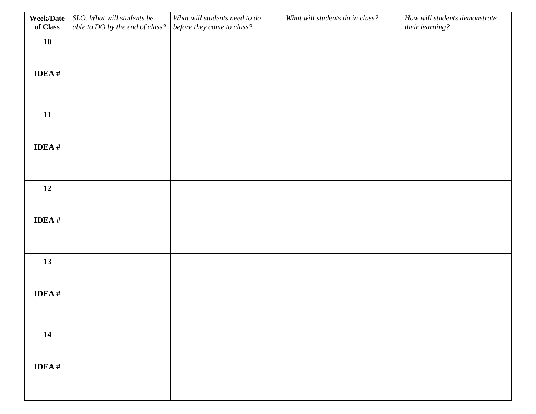| <b>Week/Date</b><br>of Class | SLO. What will students be<br>able to DO by the end of class? | What will students need to do<br>before they come to class? | What will students do in class? | How will students demonstrate<br>their learning? |
|------------------------------|---------------------------------------------------------------|-------------------------------------------------------------|---------------------------------|--------------------------------------------------|
| 10                           |                                                               |                                                             |                                 |                                                  |
|                              |                                                               |                                                             |                                 |                                                  |
| IDEA $#$                     |                                                               |                                                             |                                 |                                                  |
|                              |                                                               |                                                             |                                 |                                                  |
| 11                           |                                                               |                                                             |                                 |                                                  |
|                              |                                                               |                                                             |                                 |                                                  |
| IDEA $#$                     |                                                               |                                                             |                                 |                                                  |
|                              |                                                               |                                                             |                                 |                                                  |
| 12                           |                                                               |                                                             |                                 |                                                  |
|                              |                                                               |                                                             |                                 |                                                  |
| IDEA $#$                     |                                                               |                                                             |                                 |                                                  |
|                              |                                                               |                                                             |                                 |                                                  |
| 13                           |                                                               |                                                             |                                 |                                                  |
| IDEA $#$                     |                                                               |                                                             |                                 |                                                  |
|                              |                                                               |                                                             |                                 |                                                  |
|                              |                                                               |                                                             |                                 |                                                  |
| 14                           |                                                               |                                                             |                                 |                                                  |
| IDEA $\#$                    |                                                               |                                                             |                                 |                                                  |
|                              |                                                               |                                                             |                                 |                                                  |
|                              |                                                               |                                                             |                                 |                                                  |